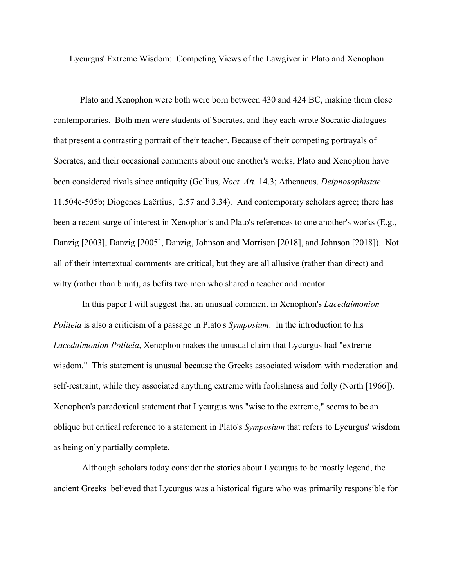Lycurgus' Extreme Wisdom: Competing Views of the Lawgiver in Plato and Xenophon

Plato and Xenophon were both were born between 430 and 424 BC, making them close contemporaries. Both men were students of Socrates, and they each wrote Socratic dialogues that present a contrasting portrait of their teacher. Because of their competing portrayals of Socrates, and their occasional comments about one another's works, Plato and Xenophon have been considered rivals since antiquity (Gellius, *Noct. Att.* 14.3; Athenaeus, *Deipnosophistae* 11.504e-505b; Diogenes Laërtius, 2.57 and 3.34). And contemporary scholars agree; there has been a recent surge of interest in Xenophon's and Plato's references to one another's works (E.g., Danzig [2003], Danzig [2005], Danzig, Johnson and Morrison [2018], and Johnson [2018]). Not all of their intertextual comments are critical, but they are all allusive (rather than direct) and witty (rather than blunt), as befits two men who shared a teacher and mentor.

In this paper I will suggest that an unusual comment in Xenophon's *Lacedaimonion Politeia* is also a criticism of a passage in Plato's *Symposium*. In the introduction to his *Lacedaimonion Politeia*, Xenophon makes the unusual claim that Lycurgus had "extreme wisdom." This statement is unusual because the Greeks associated wisdom with moderation and self-restraint, while they associated anything extreme with foolishness and folly (North [1966]). Xenophon's paradoxical statement that Lycurgus was "wise to the extreme," seems to be an oblique but critical reference to a statement in Plato's *Symposium* that refers to Lycurgus' wisdom as being only partially complete.

Although scholars today consider the stories about Lycurgus to be mostly legend, the ancient Greeks believed that Lycurgus was a historical figure who was primarily responsible for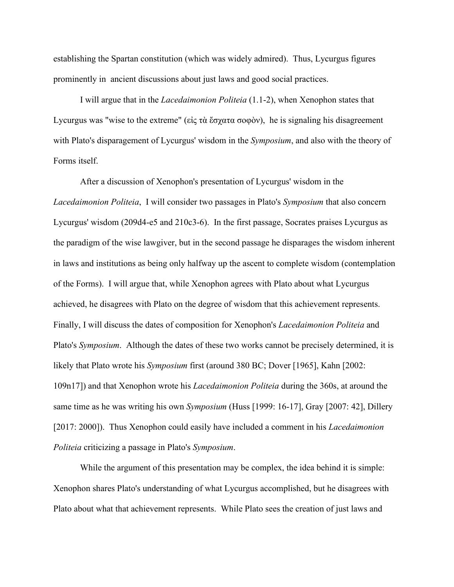establishing the Spartan constitution (which was widely admired). Thus, Lycurgus figures prominently in ancient discussions about just laws and good social practices.

I will argue that in the *Lacedaimonion Politeia* (1.1-2), when Xenophon states that Lycurgus was "wise to the extreme" (εἰς τὰ ἔσχατα σοφὸν), he is signaling his disagreement with Plato's disparagement of Lycurgus' wisdom in the *Symposium*, and also with the theory of Forms itself.

After a discussion of Xenophon's presentation of Lycurgus' wisdom in the *Lacedaimonion Politeia*, I will consider two passages in Plato's *Symposium* that also concern Lycurgus' wisdom (209d4-e5 and 210c3-6). In the first passage, Socrates praises Lycurgus as the paradigm of the wise lawgiver, but in the second passage he disparages the wisdom inherent in laws and institutions as being only halfway up the ascent to complete wisdom (contemplation of the Forms). I will argue that, while Xenophon agrees with Plato about what Lycurgus achieved, he disagrees with Plato on the degree of wisdom that this achievement represents. Finally, I will discuss the dates of composition for Xenophon's *Lacedaimonion Politeia* and Plato's *Symposium*. Although the dates of these two works cannot be precisely determined, it is likely that Plato wrote his *Symposium* first (around 380 BC; Dover [1965], Kahn [2002: 109n17]) and that Xenophon wrote his *Lacedaimonion Politeia* during the 360s, at around the same time as he was writing his own *Symposium* (Huss [1999: 16-17], Gray [2007: 42], Dillery [2017: 2000]). Thus Xenophon could easily have included a comment in his *Lacedaimonion Politeia* criticizing a passage in Plato's *Symposium*.

While the argument of this presentation may be complex, the idea behind it is simple: Xenophon shares Plato's understanding of what Lycurgus accomplished, but he disagrees with Plato about what that achievement represents. While Plato sees the creation of just laws and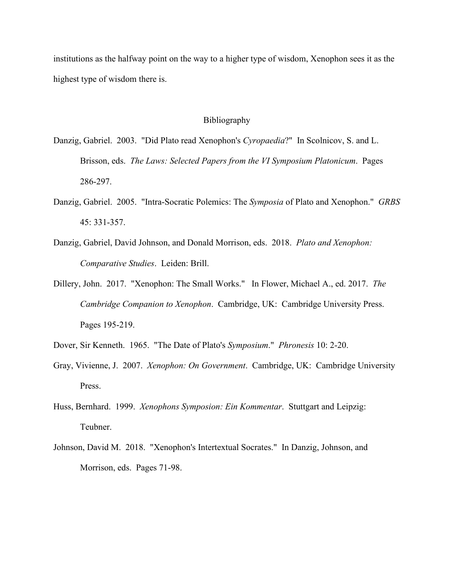institutions as the halfway point on the way to a higher type of wisdom, Xenophon sees it as the highest type of wisdom there is.

## Bibliography

- Danzig, Gabriel. 2003. "Did Plato read Xenophon's *Cyropaedia*?" In Scolnicov, S. and L. Brisson, eds. *The Laws: Selected Papers from the VI Symposium Platonicum*. Pages 286-297.
- Danzig, Gabriel. 2005. "Intra-Socratic Polemics: The *Symposia* of Plato and Xenophon." *GRBS* 45: 331-357.
- Danzig, Gabriel, David Johnson, and Donald Morrison, eds. 2018. *Plato and Xenophon: Comparative Studies*. Leiden: Brill.
- Dillery, John. 2017. "Xenophon: The Small Works." In Flower, Michael A., ed. 2017. *The Cambridge Companion to Xenophon*. Cambridge, UK: Cambridge University Press. Pages 195-219.
- Dover, Sir Kenneth. 1965. "The Date of Plato's *Symposium*." *Phronesis* 10: 2-20.
- Gray, Vivienne, J. 2007. *Xenophon: On Government*. Cambridge, UK: Cambridge University Press.
- Huss, Bernhard. 1999. *Xenophons Symposion: Ein Kommentar*. Stuttgart and Leipzig: Teubner.
- Johnson, David M. 2018. "Xenophon's Intertextual Socrates." In Danzig, Johnson, and Morrison, eds. Pages 71-98.